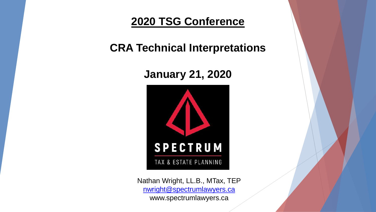**2020 TSG Conference**

**CRA Technical Interpretations**

# **January 21, 2020**



Nathan Wright, LL.B., MTax, TEP [nwright@spectrumlawyers.ca](mailto:nwright@spectrumlawyers.ca) www.spectrumlawyers.ca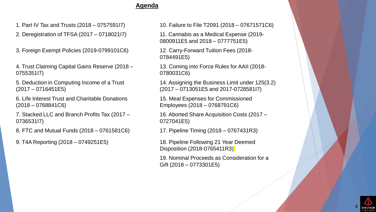### **Agenda**

2. Deregistration of TFSA (2017 – 0718021I7) 11. Cannabis as a Medical Expense (2019-

3. Foreign Exempt Policies (2019-0799101C6) 12. Carry-Forward Tuition Fees (2018-

4. Trust Claiming Capital Gains Reserve (2018 – 0755351I7)

5. Deduction in Computing Income of a Trust (2017 – 0716451E5)

6. Life Interest Trust and Charitable Donations (2018 – 0768841C6)

7. Stacked LLC and Branch Profits Tax (2017 – 0736531I7)

8. FTC and Mutual Funds (2018 – 0761581C6) 17. Pipeline Timing (2018 – 0767431R3)

1. Part IV Tax and Trusts (2018 – 0757591I7) 10. Failure to File T2091 (2018 – 07671571C6)

0800911E5 and 2018 – 0777751E5)

0784491E5)

13. Coming into Force Rules for AAII (2018- 0780031C6)

14. Assigning the Business Limit under 125(3.2) (2017 – 0713051E5 and 2017-0728581I7)

15. Meal Expenses for Commissioned Employees (2018 – 0768791C6)

16. Aborted Share Acquisition Costs (2017 – 0727041E5)

9. T4A Reporting (2018 – 0749251E5) 18. Pipeline Following 21 Year Deemed Disposition (2018-0765411R3)

> 19. Nominal Proceeds as Consideration for a Gift (2018 – 0773301E5)

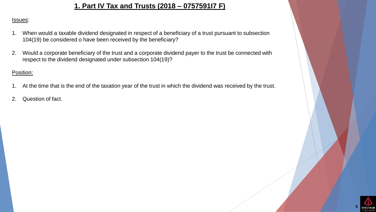## **1. Part IV Tax and Trusts (2018 – 0757591I7 F)**

#### Issues:

- 1. When would a taxable dividend designated in respect of a beneficiary of a trust pursuant to subsection 104(19) be considered o have been received by the beneficiary?
- 2. Would a corporate beneficiary of the trust and a corporate dividend payer to the trust be connected with respect to the dividend designated under subsection 104(19)?

#### Position:

- 1. At the time that is the end of the taxation year of the trust in which the dividend was received by the trust.
- 2. Question of fact.

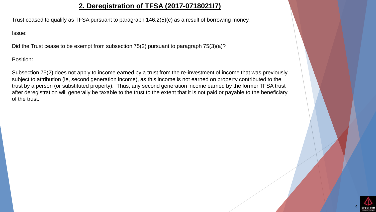### **2. Deregistration of TFSA (2017-0718021I7)**

Trust ceased to qualify as TFSA pursuant to paragraph 146.2(5)(c) as a result of borrowing money.

#### Issue:

Did the Trust cease to be exempt from subsection 75(2) pursuant to paragraph 75(3)(a)?

### Position:

Subsection 75(2) does not apply to income earned by a trust from the re-investment of income that was previously subject to attribution (ie, second generation income), as this income is not earned on property contributed to the trust by a person (or substituted property). Thus, any second generation income earned by the former TFSA trust after deregistration will generally be taxable to the trust to the extent that it is not paid or payable to the beneficiary of the trust.

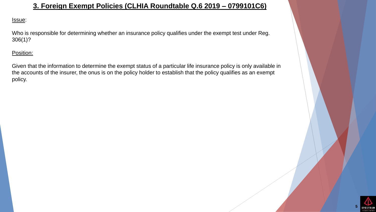## **3. Foreign Exempt Policies (CLHIA Roundtable Q.6 2019 – 0799101C6)**

#### Issue:

Who is responsible for determining whether an insurance policy qualifies under the exempt test under Reg. 306(1)?

### Position:

Given that the information to determine the exempt status of a particular life insurance policy is only available in the accounts of the insurer, the onus is on the policy holder to establish that the policy qualifies as an exempt policy.

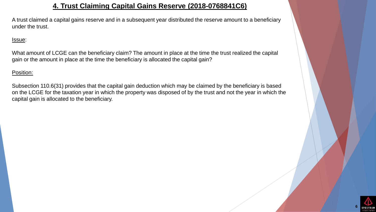### **4. Trust Claiming Capital Gains Reserve (2018-0768841C6)**

A trust claimed a capital gains reserve and in a subsequent year distributed the reserve amount to a beneficiary under the trust.

#### Issue:

What amount of LCGE can the beneficiary claim? The amount in place at the time the trust realized the capital gain or the amount in place at the time the beneficiary is allocated the capital gain?

Position:

Subsection 110.6(31) provides that the capital gain deduction which may be claimed by the beneficiary is based on the LCGE for the taxation year in which the property was disposed of by the trust and not the year in which the capital gain is allocated to the beneficiary.

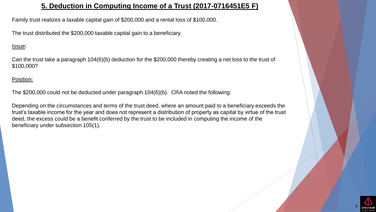## **5. Deduction in Computing Income of a Trust (2017-0716451E5 F)**

Family trust realizes a taxable capital gain of \$200,000 and a rental loss of \$100,000.

The trust distributed the \$200,000 taxable capital gain to a beneficiary.

#### Issue:

Can the trust take a paragraph 104(6)(b) deduction for the \$200,000 thereby creating a net loss to the trust of \$100,000?

Position:

The \$200,000 could not be deducted under paragraph 104(6)(b). CRA noted the following:

Depending on the circumstances and terms of the trust deed, where an amount paid to a beneficiary exceeds the trust's taxable income for the year and does not represent a distribution of property as capital by virtue of the trust deed, the excess could be a benefit conferred by the trust to be included in computing the income of the beneficiary under subsection 105(1).

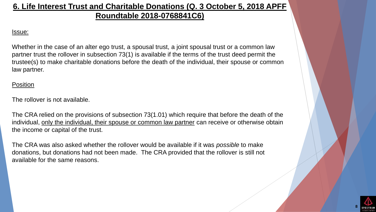## **6. Life Interest Trust and Charitable Donations (Q. 3 October 5, 2018 APFF Roundtable 2018-0768841C6)**

### Issue:

Whether in the case of an alter ego trust, a spousal trust, a joint spousal trust or a common law partner trust the rollover in subsection 73(1) is available if the terms of the trust deed permit the trustee(s) to make charitable donations before the death of the individual, their spouse or common law partner.

### Position

The rollover is not available.

The CRA relied on the provisions of subsection 73(1.01) which require that before the death of the individual, only the individual, their spouse or common law partner can receive or otherwise obtain the income or capital of the trust.

The CRA was also asked whether the rollover would be available if it was *possible* to make donations, but donations had not been made. The CRA provided that the rollover is still not available for the same reasons.

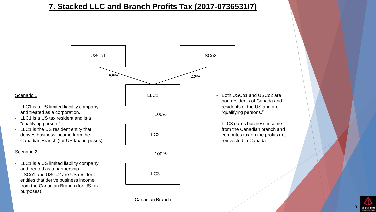## **7. Stacked LLC and Branch Profits Tax (2017-0736531I7)**



#### Scenario 1

- LLC1 is a US limited liability company and treated as a corporation.
- LLC1 is a US tax resident and is a "qualifying person."
- LLC1 is the US resident entity that derives business income from the Canadian Branch (for US tax purposes).

#### Scenario 2

- LLC1 is a US limited liability company and treated as a partnership.
- USCo1 and USCo2 are US resident entities that derive business income from the Canadian Branch (for US tax purposes).

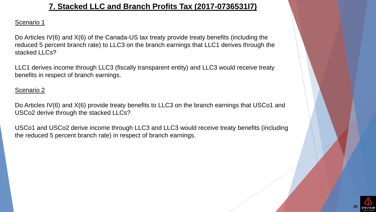## **7. Stacked LLC and Branch Profits Tax (2017-0736531I7)**

### Scenario 1

Do Articles IV(6) and X(6) of the Canada-US tax treaty provide treaty benefits (including the reduced 5 percent branch rate) to LLC3 on the branch earnings that LLC1 derives through the stacked LLCs?

LLC1 derives income through LLC3 (fiscally transparent entity) and LLC3 would receive treaty benefits in respect of branch earnings.

### Scenario 2

Do Articles IV(6) and X(6) provide treaty benefits to LLC3 on the branch earnings that USCo1 and USCo2 derive through the stacked LLCs?

USCo1 and USCo2 derive income through LLC3 and LLC3 would receive treaty benefits (including the reduced 5 percent branch rate) in respect of branch earnings.

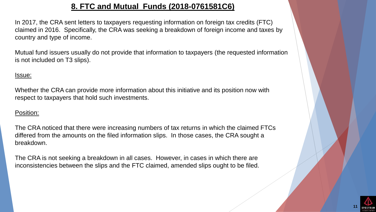## **8. FTC and Mutual Funds (2018-0761581C6)**

In 2017, the CRA sent letters to taxpayers requesting information on foreign tax credits (FTC) claimed in 2016. Specifically, the CRA was seeking a breakdown of foreign income and taxes by country and type of income.

Mutual fund issuers usually do not provide that information to taxpayers (the requested information is not included on T3 slips).

### Issue:

Whether the CRA can provide more information about this initiative and its position now with respect to taxpayers that hold such investments.

### Position:

The CRA noticed that there were increasing numbers of tax returns in which the claimed FTCs differed from the amounts on the filed information slips. In those cases, the CRA sought a breakdown.

The CRA is not seeking a breakdown in all cases. However, in cases in which there are inconsistencies between the slips and the FTC claimed, amended slips ought to be filed.

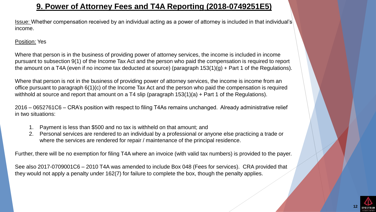## **9. Power of Attorney Fees and T4A Reporting (2018-0749251E5)**

Issue: Whether compensation received by an individual acting as a power of attorney is included in that individual's income.

### Position: Yes

Where that person is in the business of providing power of attorney services, the income is included in income pursuant to subsection 9(1) of the Income Tax Act and the person who paid the compensation is required to report the amount on a T4A (even if no income tax deducted at source) (paragraph 153(1)(g) + Part 1 of the Regulations).

Where that person is not in the business of providing power of attorney services, the income is income from an office pursuant to paragraph 6(1)(c) of the Income Tax Act and the person who paid the compensation is required withhold at source and report that amount on a T4 slip (paragraph 153(1)(a) + Part 1 of the Regulations).

2016 – 0652761C6 – CRA's position with respect to filing T4As remains unchanged. Already administrative relief in two situations:

- 1. Payment is less than \$500 and no tax is withheld on that amount; and
- 2. Personal services are rendered to an individual by a professional or anyone else practicing a trade or where the services are rendered for repair / maintenance of the principal residence.

Further, there will be no exemption for filing T4A where an invoice (with valid tax numbers) is provided to the payer.

See also 2017-0709001C6 – 2010 T4A was amended to include Box 048 (Fees for services). CRA provided that they would not apply a penalty under 162(7) for failure to complete the box, though the penalty applies.

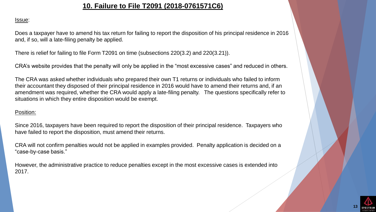### **10. Failure to File T2091 (2018-0761571C6)**

#### Issue:

Does a taxpayer have to amend his tax return for failing to report the disposition of his principal residence in 2016 and, if so, will a late-filing penalty be applied.

There is relief for failing to file Form T2091 on time (subsections 220(3.2) and 220(3.21)).

CRA's website provides that the penalty will only be applied in the "most excessive cases" and reduced in others.

The CRA was asked whether individuals who prepared their own T1 returns or individuals who failed to inform their accountant they disposed of their principal residence in 2016 would have to amend their returns and, if an amendment was required, whether the CRA would apply a late-filing penalty. The questions specifically refer to situations in which they entire disposition would be exempt.

#### Position:

Since 2016, taxpayers have been required to report the disposition of their principal residence. Taxpayers who have failed to report the disposition, must amend their returns.

CRA will not confirm penalties would not be applied in examples provided. Penalty application is decided on a "case-by-case basis."

However, the administrative practice to reduce penalties except in the most excessive cases is extended into 2017.

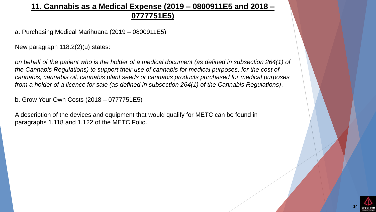## **11. Cannabis as a Medical Expense (2019 – 0800911E5 and 2018 – 0777751E5)**

a. Purchasing Medical Marihuana (2019 – 0800911E5)

New paragraph 118.2(2)(u) states:

*on behalf of the patient who is the holder of a medical document (as defined in subsection 264(1) of the Cannabis Regulations) to support their use of cannabis for medical purposes, for the cost of cannabis, cannabis oil, cannabis plant seeds or cannabis products purchased for medical purposes from a holder of a licence for sale (as defined in subsection 264(1) of the Cannabis Regulations)*.

b. Grow Your Own Costs (2018 – 0777751E5)

A description of the devices and equipment that would qualify for METC can be found in paragraphs 1.118 and 1.122 of the METC Folio.

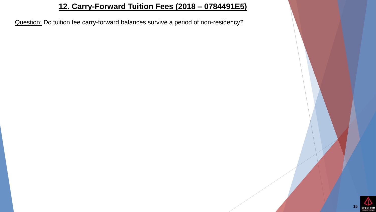## **12. Carry-Forward Tuition Fees (2018 – 0784491E5)**

Question: Do tuition fee carry-forward balances survive a period of non-residency?

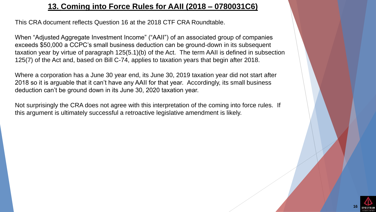## **13. Coming into Force Rules for AAII (2018 – 0780031C6)**

This CRA document reflects Question 16 at the 2018 CTF CRA Roundtable.

When "Adjusted Aggregate Investment Income" ("AAII") of an associated group of companies exceeds \$50,000 a CCPC's small business deduction can be ground-down in its subsequent taxation year by virtue of paragraph 125(5.1)(b) of the Act. The term AAII is defined in subsection 125(7) of the Act and, based on Bill C-74, applies to taxation years that begin after 2018.

Where a corporation has a June 30 year end, its June 30, 2019 taxation year did not start after 2018 so it is arguable that it can't have any AAII for that year. Accordingly, its small business deduction can't be ground down in its June 30, 2020 taxation year.

Not surprisingly the CRA does not agree with this interpretation of the coming into force rules. If this argument is ultimately successful a retroactive legislative amendment is likely.

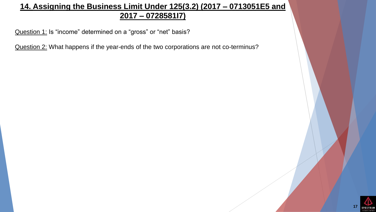## **14. Assigning the Business Limit Under 125(3.2) (2017 – 0713051E5 and 2017 – 0728581I7)**

Question 1: Is "income" determined on a "gross" or "net" basis?

Question 2: What happens if the year-ends of the two corporations are not co-terminus?

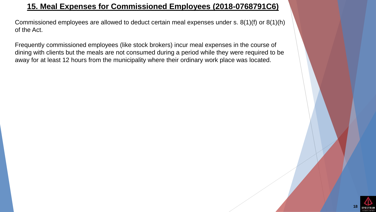## **15. Meal Expenses for Commissioned Employees (2018-0768791C6)**

Commissioned employees are allowed to deduct certain meal expenses under s. 8(1)(f) or 8(1)(h) of the Act.

Frequently commissioned employees (like stock brokers) incur meal expenses in the course of dining with clients but the meals are not consumed during a period while they were required to be away for at least 12 hours from the municipality where their ordinary work place was located.

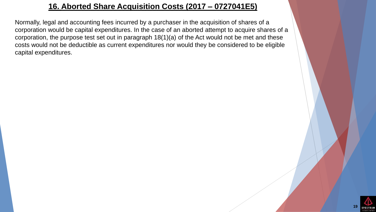## **16. Aborted Share Acquisition Costs (2017 – 0727041E5)**

Normally, legal and accounting fees incurred by a purchaser in the acquisition of shares of a corporation would be capital expenditures. In the case of an aborted attempt to acquire shares of a corporation, the purpose test set out in paragraph 18(1)(a) of the Act would not be met and these costs would not be deductible as current expenditures nor would they be considered to be eligible capital expenditures.

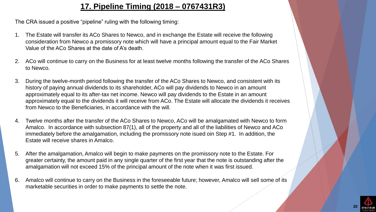## **17. Pipeline Timing (2018 – 0767431R3)**

The CRA issued a positive "pipeline" ruling with the following timing:

- 1. The Estate will transfer its ACo Shares to Newco, and in exchange the Estate will receive the following consideration from Newco a promissory note which will have a principal amount equal to the Fair Market Value of the ACo Shares at the date of A's death.
- 2. ACo will continue to carry on the Business for at least twelve months following the transfer of the ACo Shares to Newco.
- 3. During the twelve-month period following the transfer of the ACo Shares to Newco, and consistent with its history of paying annual dividends to its shareholder, ACo will pay dividends to Newco in an amount approximately equal to its after-tax net income. Newco will pay dividends to the Estate in an amount approximately equal to the dividends it will receive from ACo. The Estate will allocate the dividends it receives from Newco to the Beneficiaries, in accordance with the will.
- 4. Twelve months after the transfer of the ACo Shares to Newco, ACo will be amalgamated with Newco to form Amalco. In accordance with subsection 87(1), all of the property and all of the liabilities of Newco and ACo immediately before the amalgamation, including the promissory note isued oin Step #1. In addition, the Estate will receive shares in Amalco.
- 5. After the amalgamation, Amalco will begin to make payments on the promissory note to the Estate. For greater certainty, the amount paid in any single quarter of the first year that the note is outstanding after the amalgamation will not exceed 15% of the principal amount of the note when it was first issued.
- 6. Amalco will continue to carry on the Business in the foreseeable future; however, Amalco will sell some of its marketable securities in order to make payments to settle the note.

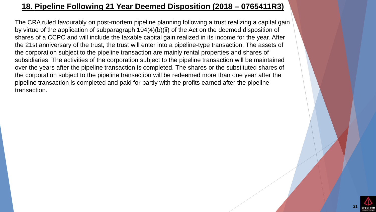## **18. Pipeline Following 21 Year Deemed Disposition (2018 – 0765411R3)**

The CRA ruled favourably on post-mortem pipeline planning following a trust realizing a capital gain by virtue of the application of subparagraph 104(4)(b)(ii) of the Act on the deemed disposition of shares of a CCPC and will include the taxable capital gain realized in its income for the year. After the 21st anniversary of the trust, the trust will enter into a pipeline-type transaction. The assets of the corporation subject to the pipeline transaction are mainly rental properties and shares of subsidiaries. The activities of the corporation subject to the pipeline transaction will be maintained over the years after the pipeline transaction is completed. The shares or the substituted shares of the corporation subject to the pipeline transaction will be redeemed more than one year after the pipeline transaction is completed and paid for partly with the profits earned after the pipeline transaction.